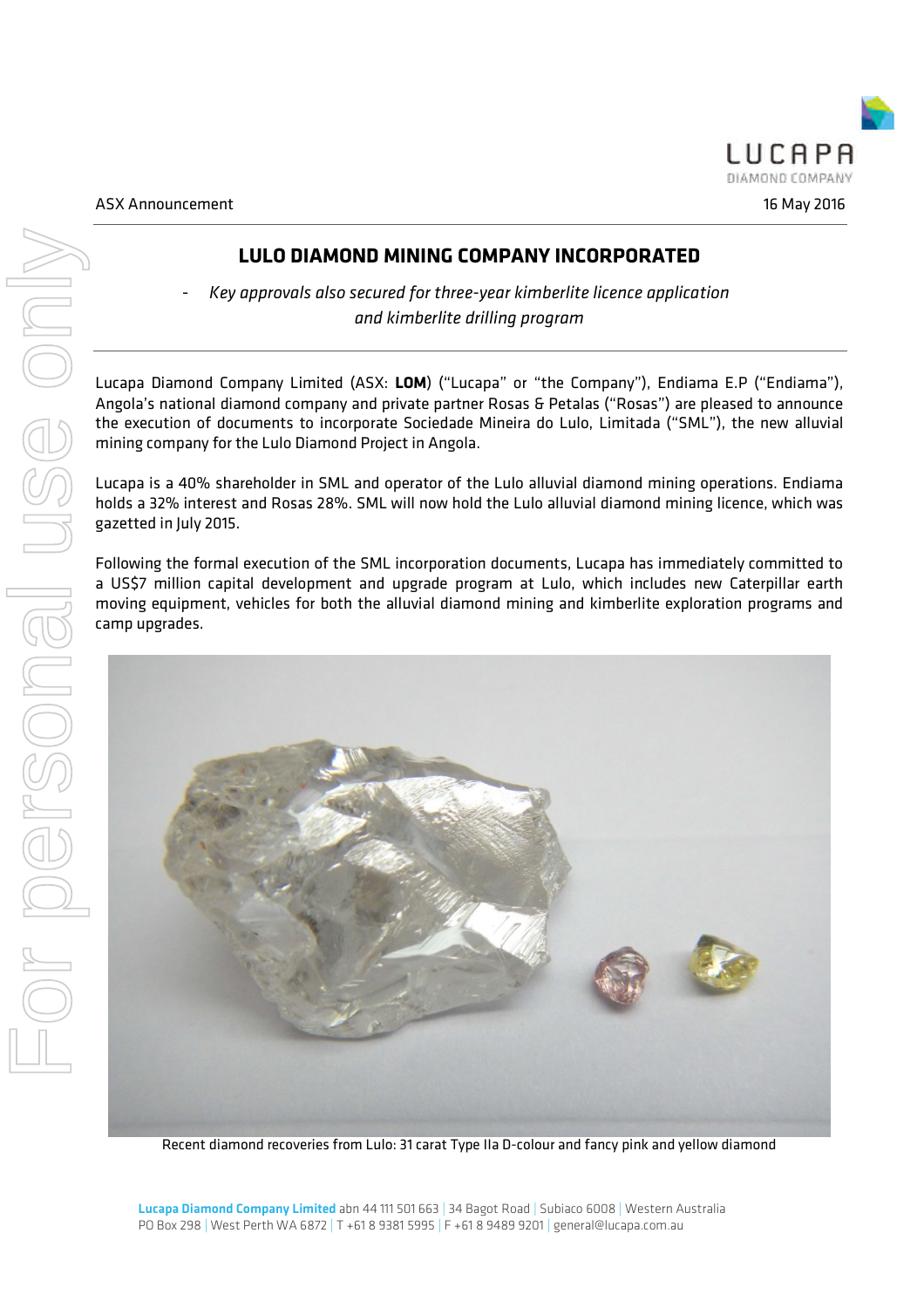# **LULO DIAMOND MINING COMPANY INCORPORATED**

- *Key approvals also secured for three-year kimberlite licence application and kimberlite drilling program*

Lucapa Diamond Company Limited (ASX: **LOM**) ("Lucapa" or "the Company"), Endiama E.P ("Endiama"), Angola's national diamond company and private partner Rosas & Petalas ("Rosas") are pleased to announce the execution of documents to incorporate Sociedade Mineira do Lulo, Limitada ("SML"), the new alluvial mining company for the Lulo Diamond Project in Angola.

Lucapa is a 40% shareholder in SML and operator of the Lulo alluvial diamond mining operations. Endiama holds a 32% interest and Rosas 28%. SML will now hold the Lulo alluvial diamond mining licence, which was gazetted in July 2015.

Following the formal execution of the SML incorporation documents, Lucapa has immediately committed to a US\$7 million capital development and upgrade program at Lulo, which includes new Caterpillar earth moving equipment, vehicles for both the alluvial diamond mining and kimberlite exploration programs and camp upgrades.



Recent diamond recoveries from Lulo: 31 carat Type IIa D-colour and fancy pink and yellow diamond

Lucapa Diamond Company Limited abn 44 111 501 663 | 34 Bagot Road | Subiaco 6008 | Western Australia PO Box 298 | West Perth WA 6872 | T +61 8 9381 5995 | F +61 8 9489 9201 | general@lucapa.com.au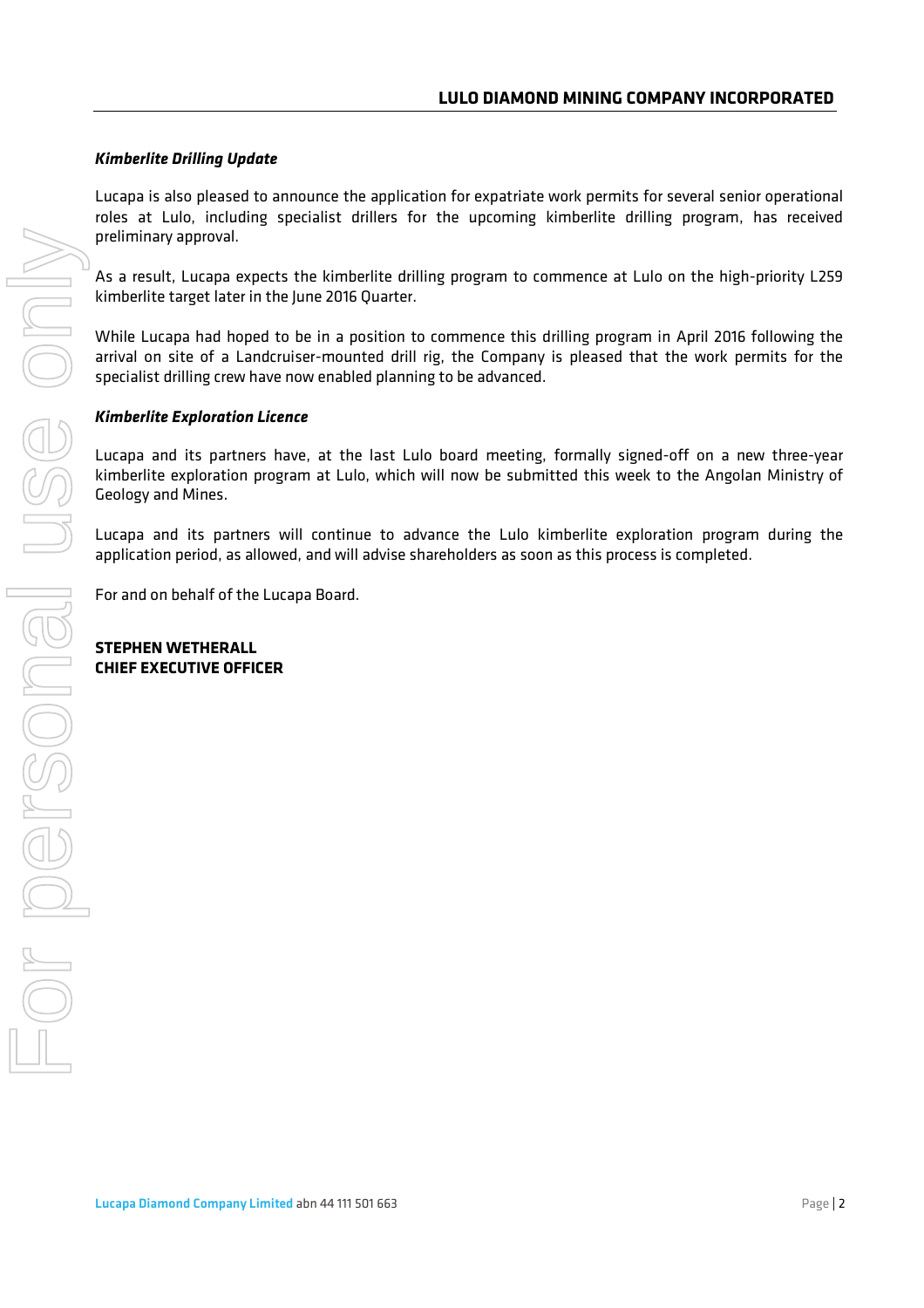## *Kimberlite Drilling Update*

Lucapa is also pleased to announce the application for expatriate work permits for several senior operational roles at Lulo, including specialist drillers for the upcoming kimberlite drilling program, has received preliminary approval.

As a result, Lucapa expects the kimberlite drilling program to commence at Lulo on the high-priority L259 kimberlite target later in the June 2016 Quarter.

While Lucapa had hoped to be in a position to commence this drilling program in April 2016 following the arrival on site of a Landcruiser-mounted drill rig, the Company is pleased that the work permits for the specialist drilling crew have now enabled planning to be advanced.

## *Kimberlite Exploration Licence*

Lucapa and its partners have, at the last Lulo board meeting, formally signed-off on a new three-year kimberlite exploration program at Lulo, which will now be submitted this week to the Angolan Ministry of Geology and Mines.

Lucapa and its partners will continue to advance the Lulo kimberlite exploration program during the application period, as allowed, and will advise shareholders as soon as this process is completed.

For and on behalf of the Lucapa Board.

### **STEPHEN WETHERALL CHIEF EXECUTIVE OFFICER**